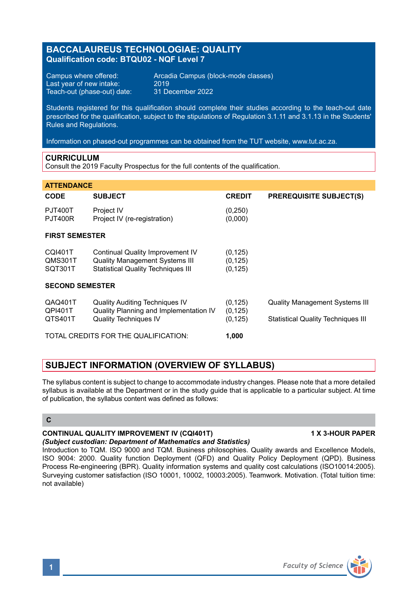# **BACCALAUREUS TECHNOLOGIAE: QUALITY Qualification code: BTQU02 - NQF Level 7**

Last year of new intake:  $2019$ <br>Teach-out (phase-out) date:  $31$  December 2022 Teach-out (phase-out) date:

Campus where offered: <br>
Last vear of new intake: 2019<br>
2019

Students registered for this qualification should complete their studies according to the teach-out date prescribed for the qualification, subject to the stipulations of Regulation 3.1.11 and 3.1.13 in the Students' Rules and Regulations.

Information on phased-out programmes can be obtained from the TUT website, www.tut.ac.za.

## **CURRICULUM**

Consult the 2019 Faculty Prospectus for the full contents of the qualification.

| <b>ATTENDANCE</b>                    |                                                                                                                        |                                  |                                                                                    |
|--------------------------------------|------------------------------------------------------------------------------------------------------------------------|----------------------------------|------------------------------------------------------------------------------------|
| <b>CODE</b>                          | <b>SUBJECT</b>                                                                                                         | <b>CREDIT</b>                    | <b>PREREQUISITE SUBJECT(S)</b>                                                     |
| PJT400T<br><b>PJT400R</b>            | Project IV<br>Project IV (re-registration)                                                                             | (0, 250)<br>(0,000)              |                                                                                    |
| <b>FIRST SEMESTER</b>                |                                                                                                                        |                                  |                                                                                    |
| <b>CQI401T</b><br>QMS301T<br>SQT301T | Continual Quality Improvement IV<br><b>Quality Management Systems III</b><br><b>Statistical Quality Techniques III</b> | (0, 125)<br>(0, 125)<br>(0, 125) |                                                                                    |
| <b>SECOND SEMESTER</b>               |                                                                                                                        |                                  |                                                                                    |
| QAQ401T<br>QPI401T<br>QTS401T        | <b>Quality Auditing Techniques IV</b><br>Quality Planning and Implementation IV<br><b>Quality Techniques IV</b>        | (0, 125)<br>(0, 125)<br>(0, 125) | <b>Quality Management Systems III</b><br><b>Statistical Quality Techniques III</b> |
| TOTAL CREDITS FOR THE QUALIFICATION: |                                                                                                                        | 1.000                            |                                                                                    |

# **SUBJECT INFORMATION (OVERVIEW OF SYLLABUS)**

The syllabus content is subject to change to accommodate industry changes. Please note that a more detailed syllabus is available at the Department or in the study quide that is applicable to a particular subject. At time of publication, the syllabus content was defined as follows:

## **C**

#### **CONTINUAL QUALITY IMPROVEMENT IV (CQI401T) 1 X 3-HOUR PAPER** *(Subject custodian: Department of Mathematics and Statistics)*

Introduction to TQM. ISO 9000 and TQM. Business philosophies. Quality awards and Excellence Models, ISO 9004: 2000. Quality function Deployment (QFD) and Quality Policy Deployment (QPD). Business Process Re-engineering (BPR). Quality information systems and quality cost calculations (ISO10014:2005). Surveying customer satisfaction (ISO 10001, 10002, 10003:2005). Teamwork. Motivation. (Total tuition time: not available)